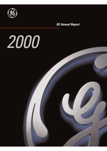

# **GE Annual Report**

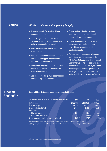# **GE Values**

# **All of us…always with unyielding integrity…**

- **Are passionately focused on driving** customer success
- **Example 3 Live Six Sigma Quality... ensure that the** customer is always its first beneficiary… and use it to accelerate growth
- **.** Insist on excellence and are intolerant of bureaucracy
- Act in a boundaryless fashion…always search for and apply the best ideas regardless of their source
- **Prize global intellectual capital and the** people that provide it…build diverse teams to maximize it
- See change for the growth opportunities it brings…e.g., "e-Business"
- Create a clear, simple, customercentered vision…and continually renew and refresh its execution
- Create an environment of "stretch," excitement, informality and trust… reward improvements…and celebrate results
- **Demonstrate... always with infectious** enthusiasm for the customer...the **"4-E's" of GE leadership:** the personal **Energy** to welcome and deal with the speed of change...the ability to create an atmosphere that **Energizes** others… the **Edge** to make difficult decisions… and the ability to consistently **Execute**

# **Financial Highlights**

#### **General Electric Company and consolidated affiliates**

| (Dollar amounts in millions; per-share amounts in dollars) | 2000      | 1999      | 1998              |
|------------------------------------------------------------|-----------|-----------|-------------------|
| <b>Revenues</b>                                            | \$129,853 | \$111,630 | \$100,469         |
| Net earnings                                               | 12,735    | 10,717    | 9,296             |
| <b>Dividends declared</b>                                  | 5,647     | 4,786     | 4,081             |
| Per share                                                  |           |           |                   |
| Net earnings                                               | 1.27      | 1.07      | 0.93              |
| <b>Dividends declared</b>                                  | 0.57      | $0.48\%$  | $0.41\frac{2}{3}$ |
| GE ongoing operating margin rate (a)                       | 18.9%     | 17.8%     | 16.7%             |

Per-share amounts have been adjusted to reflect the 3-for-1 stock split effective on April 27, 2000.

(a) "Ongoing operating margin" here and elsewhere in this report excludes unusual charges in 2000 and 1999.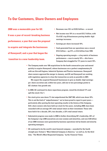# **To Our Customers, Share Owners and Employees**

- **2000 was a memorable year for GE: It was a year of record-breaking business performance; a year that saw the proposal to acquire and integrate the businesses of Honeywell; and a year that began the transition to a new leadership team.**
- **Revenues rose 16% to \$129.9 billion—a record.**
- **Net income rose 19% to a record \$12.7 billion, with 15 of GE's top 20 businesses posting double-digit earnings increases.**
- **Earnings per share increased 19%.**
- **Cash generated from our operations was a record \$15.4 billion—up 31%, or \$3.6 billion from 1999.**
- **Ongoing operating margin—a key metric of business performance—rose to nearly 19%—this from a Company that struggled for 111 years to reach 10%.**
- **. The Company made over 100 acquisitions for the fourth consecutive year and moved quickly to acquire Honeywell, whose businesses are a perfect complementary fit with our Aircraft Engines, Industrial Systems and Plastics businesses. Honeywell share owners approved the merger in January, and GE and Honeywell are working with regulatory agencies to close the transaction as early as possible in 2001.**

**We expect the acquired Honeywell businesses to give us double-digit earningsper-share accretion and, within two years, add one to two percentage points to GE's bottom-line growth rate.**

- **In 2000, GE continued its share repurchase program, raised the dividend 17% and split the stock 3 for 1.**
- Our stock price was down 7% but outperformed the S&P 500, which was down 10%. **This is not the kind of "outperformance" we've been proud to report in past years particularly after posting the best operating results in the history of the Company. Still, share owners who have held our stock for five years, including 2000, have been rewarded with an average 34% total annual return on their investment. Those who have held it for a decade, 29%; two decades, a 23% total annual return.**
- **Substantial progress was made in 2000 in further diversifying GE's leadership. 26% of the Company's top 3,900 executives are now women and minorities, and over \$30 billion of our 2000 revenues were generated by business operations led by female and minority operating managers.**
- **GE continued to be the world's most honored company—awarded for the fourth straight year** *Fortune's* **"Most Admired Company in America," as well as, for the third time, "The World's Most Respected Company," by the** *Financial Times.*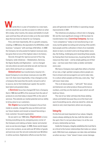e write this in a year of transition to a new team, and we would like to use this occasion to reflect on what GE is today: why it works, the values and beliefs it is built upon and how they will serve to take us to the even better days that we know lie ahead for our Company. **W**

First, and most importantly, GE is a growth company, creating, in 2000 alone, the equivalent of an \$18 billion, multibusiness "company" with earnings of \$2 billion. In 2000 the Company not only posted its highest revenues ever, but grew them at one of the highest rates in its history.

Second, through the rigorous pursuit of four big Company-wide initiatives—Globalization, Services, Six Sigma Quality and Digitization—we've changed not only where we work and what we sell, but how we work, think and touch our customers.

**Globalization** has transformed a heavily U.S. based Company to one whose revenues are now 40% non-U.S. Even more importantly, it has changed us into a Company that searches the world, not just to sell or to source, but to find intellectual capital: the world's best talent and greatest ideas.

A **Services** focus has changed GE from a Company that in 1980 derived 85% of its revenues from the sale of products to one that today is based 70% on the sale of services. This extends our market potential and our ability to bring value to our customers.

**Six Sigma** has turned the Company's focus from inside to outside, changed the way we think and train our future leaders and moved us toward becoming a truly customer-focused organization.

As we said in our 1999 letter, **Digitization** is transforming everything we do, energizing every corner of the Company and making us faster, leaner and smarter even as we become bigger. In 2000, these words began to turn into numbers, as we sold over \$7 billion of goods and services over the net and conducted over \$6 billion in online auctions. Digitization efforts across the Company will generate over \$1.5 billion in operating margin improvements in 2001.

The initiatives are playing a critical role in changing GE, but the most significant change in GE has been its transformation into a **Learning Company.** Our true "core competency" today is not manufacturing or services, but the global recruiting and nurturing of the world's best people and the cultivation in them of an insatiable desire to learn, to stretch and to do things better every day. By finding, challenging and rewarding these people, by freeing them from bureaucracy, by giving them all the resources they need—and by simply getting out of their way—we have seen them make us better and better every year.

We have a Company more agile than others a fraction of our size, a high-spirited company where people are free to dream and encouraged to act and to take risks. In a culture where people act this way, every day, "big" will never mean slow.

This is all about people—"soft stuff." But values and behaviors are what produce those performance numbers, and they are the bedrock upon which we will build our future.

The rest of our letter will describe these abiding values and beliefs because they are at the heart and soul of everything we do, what we stand for, what we stand on and, most important, where we are going.

#### **Integrity**

It's the first and most important of our values. Integrity means always abiding by the law, both the letter and the spirit. But it's not just about laws; it is at the core of every relationship we have.

Inside the Company, integrity establishes the trust that is so critical to the human relationships that make our values work. With that trust, employees can take risks and believe us when we say a "miss" doesn't mean career damage.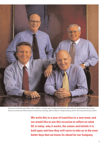

Chairman and Chief Executive Officer John F. Welch, Jr. (seated, right), President and Chairman-Elect Jeffrey R. Immelt (seated, left), and Vice Chairmen and Executive Officers Dennis D. Dammerman (standing, right) and Robert C. Wright (standing, left) form GE's Corporate Executive Office.

**We write this in a year of transition to a new team, and we would like to use this occasion to reflect on what GE is today: why it works, the values and beliefs it is built upon and how they will serve to take us to the even better days that we know lie ahead for our Company.**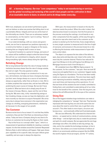*GE*…*a learning Company. Our true "core competency" today is not manufacturing or services, but the global recruiting and nurturing of the world's best people and the cultivation in them of an insatiable desire to learn, to stretch and to do things better every day.*

With trust, employees can set stretch performance goals and can believe us when we promise that falling short is not a punishable offense. Integrity and trust are at the heart of the informality we cherish. There are no witnesses needed to conversations, nor the need to "put it in writing." None of that—our word is enough.

In our external dealings, with our unions and governments, we are free to represent our positions vigorously, in a constructive fashion, to agree or disagree on the issues, knowing that our integrity itself is never an issue.

A period of transition is a period of change, and some of our values will be modified to adapt to what the future brings. One will not: our commitment to integrity, which, beyond doing everything right, means always doing the right thing.

#### **Relishing Change**

We've long believed that when the rate of change inside an institution becomes slower than the rate of change outside, the end is in sight. The only question is when.

Learning to love change is an unnatural act in any century-old institution, but today we have a Company that does just that: sees change always as a source of excitement, always as opportunity, rather than as threat or crisis. We're no better prophets than anyone else, and we have difficulty predicting the exact course of change. But we don't have to predict it. What we have to do is simply jump all over it! Our moves in Europe, Mexico, Japan and the rest of Asia during the '90s were risky, richly-rewarded big swings at fast-breaking change, as was our leap into digitization, and more recently our decision to acquire Honeywell. We strive every day to always have everyone in the organization see change as a thrilling, energizing phenomenon, relished by all, because it is the oxygen of our growth.

#### **The Customer**

Bureaucracies love to focus inward. It's not that they dislike customers; they just don't find them as interesting as themselves. Today we have a Company doing its very best to fix its face on customers by focusing Six Sigma on their needs.

Key to this focus is a concept called "span," which is a measurement of operational reliability for meeting a customer request. It is the time window around the Customer Requested Delivery Date in which delivery will happen. High span shows poor capability to hit a specific date; low span reflects great capability; and zero span is always the objective.

With span, the measurement is based on the day the customer wants the product. When the order is taken, that date becomes known to everyone, from the first person in the process receiving the castings, circuit boards or any other components from the supplier, all the way through to the service reps who stand next to the customer as the product is started up for the first time. Every single delivery to every single customer is measured and in the line of sight of everyone; and everyone in the process knows he or she is affecting the business-wide measurement of span with every action taken.

The object is to squeeze the two sides of the delivery span, days early and days late, ever closer to the center: the exact day the customer desired. Plastics has reduced its span from 50 days to 5; Aircraft Engines from 80 days to 5; Mortgage Insurance took it from 54 days to 1.

GE completed more than 2000 Six Sigma projects "at the customer, for the customer," last year. Here we took GE resources and applied them to our customers' biggest needs, using Six Sigma as a foundation. The focus has been totally inside our customer operations. The wins have been significant: improving locomotive reliability, reducing medical CT scan wait times and improving airline operations. It's not that we know all the answers but we're totally committed to finding them; and committed to externalizing all of our initiatives for the benefit of the customer. Over the long term, we believe this will differentiate GE in the eyes of the customer.

#### **Using Size**

One of the biggest mistakes large institutions can make is indulging the compulsion to "manage" their size. They become impressed with how big they are and at the same time nervous about the need to control their size, to get their arms around it. This often leads to more layers, structure and bureaucracy—and eventually stifled and frustrated people.

We see size differently. We understand its inherent limitations—on speed and on clarity of communications, among other things—and we fight every day to create the quickness and spirit of a small company. But we appreciate the one huge advantage size offers: the ability to take big swings, big risks, and to live outside the technology envelope, to live in the future. Size allows us to invest hundreds of millions of dollars in an enormously ambitious program like the GE90, the world's highest-thrust jet engine, and the "H" turbine,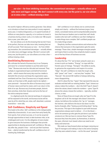…*our size—far from inhibiting innovation, the conventional stereotype—actually allows us to take more and bigger swings. We don't connect with every one, but the point is, our size allows us to miss a few—without missing a beat.*

the world's highest-efficiency turbine generator. Size allows us to introduce at least one new product in every segment, every year, in medical diagnostics, or to spend hundreds of millions on new plastics capacity, or to continue to invest in a business during a down cycle, or to make over 100 acquisitions a year, year after year.

Our size allows us to do this knowing that we don't have to be perfect, that we can take more risks, knowing that not all will succeed. That's because our size—far from inhibiting innovation, the conventional stereotype—actually allows us to take more and bigger swings. We don't connect with every one, but the point is, our size allows us to miss a few without missing a beat.

### **Annihilating Bureaucracy**

We cultivate the hatred of bureaucracy in our Company and never for a moment hesitate to use that awful word "hate." Bureaucrats must be ridiculed and removed. They multiply in organizational layers and behind functional walls—which means that every day must be a battle to demolish this structure and keep the organization open, ventilated and free. Even if bureaucracy is largely exterminated, as it has been at GE, people need to be vigilant even paranoid—because the allure of bureaucracy is part of human nature and hard to resist, and it can return in the blink of an eye. Bureaucracy frustrates people, distorts their priorities, limits their dreams and turns the face of the entire enterprise inward.

In a digitized world, the internal workings of companies will be exposed to the world, and bureaucracies will be seen by all for what they are: slow, self-absorbed, customer insensitive—even silly.

## **Self-Confidence, Simplicity and Speed**

One leads to the other. Self-confidence is the indispensable leadership characteristic. It can come from early family life, from sports, from school success, or it can be acquired through opportunities to lead, to take business risks, to be challenged and to win. It is the obligation of every leader to give everyone the business challenges that provide opportunities to develop personal self-confidence. We see, day after day, people's lives—and not just their business lives—utterly transformed by the self-confidence born of meeting big challenges.

Self-confidence in turn allows one to communicate simply and clearly—without the business jargon, busy charts, convoluted memos and incomprehensible presentations that insecure leaders use to mask their self-doubt. Leaders who lack self-confidence use their intelligence to make things more complex. Self-confident people use it to make things simpler.

Simplicity clarifies communications and enhances the chance that everyone in the organization gets the same message. Those clear, simple messages energize people and inspire them to action; thus simplicity leads to speed, one of the key drivers of business success.

# **Leadership**

It's about the four "E's" we've been using for years as a screen to pick our leaders. "Energy": to cope with the frenetic pace of change. "Energize": the ability to excite, to galvanize the organization and inspire it to action. "Edge": the self-confidence to make the tough calls, with "yeses" and "noes"—and very few "maybes." And "Execute": the ancient GE tradition of always delivering, never disappointing.

And it's about the four "types" that represent the way we evaluate and deal with our existing leaders. Type I: shares our values; makes the numbers—sky's the limit! Type II: doesn't share the values; doesn't make the numbers—gone. Type III: shares the values; misses the numbers—typically, another chance, or two.

None of these three are tough calls, but Type IV is the toughest call of all: the manager who doesn't share the values, but delivers the numbers; the "go-to" manager, the hammer, who delivers the bacon but does it on the backs of people, often "kissing up and kicking down" during the process. This type is the toughest to part with because organizations always want to deliver—it's in the blood and to let someone go who gets the job done is yet another unnatural act. But we have to remove these Type IVs because they have the power, by themselves, to destroy the open, informal, trust-based culture we need to win today and tomorrow.

We made our leap forward when we began removing our Type IV managers and making it clear to the entire Company why they were asked to leave—not for the usual "personal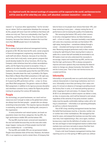*In a digitized world, the internal workings of companies will be exposed to the world, and bureaucracies will be seen by all for what they are: slow, self-absorbed, customer insensitive—even silly.*

reasons" or "to pursue other opportunities," but for not sharing our values. Until an organization develops the courage to do this, people will never have full confidence that these soft values are truly real. There are undoubtedly a few Type IVs remaining, and they must be found. They must leave the Company, because their behavior weakens the trust that more than 300,000 people have in its leadership.

## **Training**

We've always had great advanced management training programs at GE. We also have terrific early-career programs in financial management, engineering, manufacturing, the audit staff and others. However, because of our diversity we've never had a truly early-career generic program that would develop leaders for all our functions. All of our big, Company-wide initiatives have led us down serendipitous paths, and Six Sigma has proved no exception. It has, in addition to its other benefits, now become the language of leadership. It is a reasonable guess that the next CEO of this Company, decades down the road, is probably a Six Sigma Black Belt or Master Black Belt somewhere in GE right now, or on the verge of being offered—as all our early-career (3-5 years) top 20% performers will be—a two-to-threeyear Black Belt assignment. The generic nature of a Black Belt assignment, in addition to its rigorous process discipline and relentless customer focus, makes Six Sigma the perfect training for growing 21st century GE leadership.

## **People**

Our technology, our great businesses, our reach and our resources aren't enough to make us the global best unless we always have the best people—people who are always stretching to become better. This requires rigorous discipline in evaluating, and total candor in dealing with, everyone in the organization.

In every evaluation and reward system, we break our population down into three categories: the top 20%, the high-performance middle 70% and the bottom 10%.

The top 20% must be loved, nurtured and rewarded in the soul and wallet because they are the ones who make magic happen. Losing one of these people must be held up as a leadership sin—a real failing.

The top 20% and middle 70% are not permanent labels. People move between them all the time. However, the bottom 10%, in our experience, tend to remain there. A Company that bets its future on its people must remove that lower 10%, and keep removing it every year—always raising the bar of performance and increasing the quality of its leadership.

Not removing that bottom 10% early in their careers is not only a management failure, but false kindness as well—a form of cruelty—because inevitably a new leader will come into a business and take out that bottom 10% right away, leaving them—sometimes midway through a career—stranded and having to start over somewhere else. Removing marginal performers early in their careers is doing the right thing for them; leaving them in place to settle into a career that will inevitably be terminated is not. GE leaders must not only understand the necessity to encourage, inspire and reward that top 20%, and be sure that the high-performance 70% is always energized to improve and move upward; they must develop the determination to change out, always humanely, that bottom 10%, and do it every year. That is how real meritocracies are created and thrive.

#### **Informality**

Informality is not generally seen as a particularly important cultural characteristic in most large institutions, but it is in ours. Informality is more than just being a first-name company; it's not just an absence of managers parading around the factory floor in suits, or of reserved parking spaces or other trappings of rank and status. It's deeper than that. At GE it's an atmosphere in which anyone can deliver a view, an idea, to anyone else, and it will be listened to and valued, regardless of the seniority of any party involved. Leaders today must be equally comfortable making a sales call or sitting in a boardroom—informality is an operating philosophy as well as a cultural characteristic.

One of GE's long-standing management tenets has been the belief that businesses must be, or become, number one or number two in their marketplaces. We managed by that tenet for years, and enjoyed the business success that came, over time, from implementing it. But, once again, insidious bureaucracy crept into the definition of number one or number two and began to lead management teams to define their markets more and more narrowly to assure that their business would fit the one-or-two share definition.

It took a mid-level Company management training class reporting out to us in the spring of 1995 to point out, without